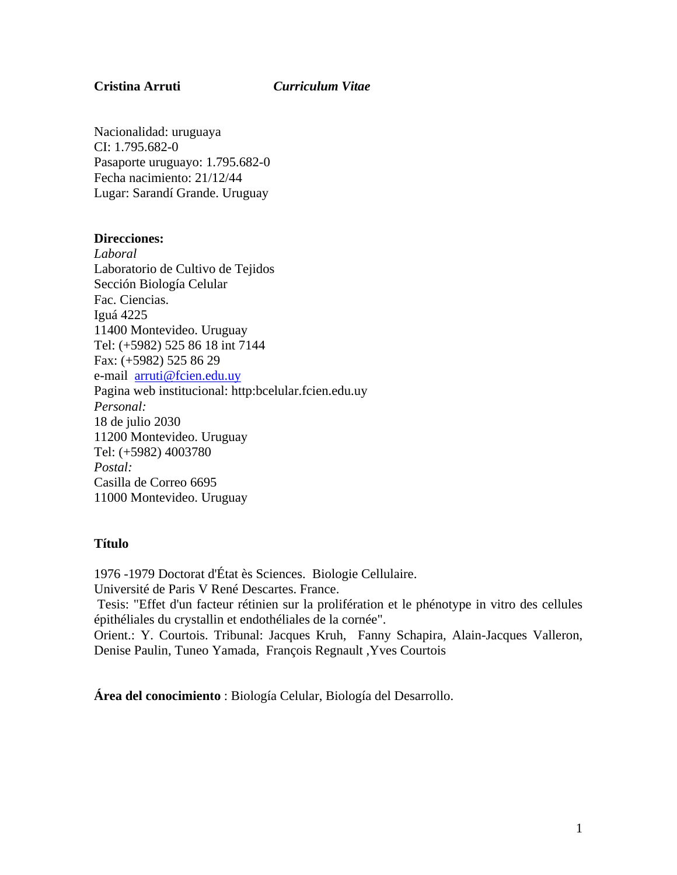## **Cristina Arruti** *Curriculum Vitae*

Nacionalidad: uruguaya CI: 1.795.682-0 Pasaporte uruguayo: 1.795.682-0 Fecha nacimiento: 21/12/44 Lugar: Sarandí Grande. Uruguay

### **Direcciones:**

*Laboral*  Laboratorio de Cultivo de Tejidos Sección Biología Celular Fac. Ciencias. Iguá 4225 11400 Montevideo. Uruguay Tel: (+5982) 525 86 18 int 7144 Fax: (+5982) 525 86 29 e-mail arruti@fcien.edu.uy Pagina web institucional: http:bcelular.fcien.edu.uy *Personal:*  18 de julio 2030 11200 Montevideo. Uruguay Tel: (+5982) 4003780 *Postal:* Casilla de Correo 6695 11000 Montevideo. Uruguay

## **Título**

1976 -1979 Doctorat d'État ès Sciences. Biologie Cellulaire. Université de Paris V René Descartes. France. Tesis: "Effet d'un facteur rétinien sur la prolifération et le phénotype in vitro des cellules épithéliales du crystallin et endothéliales de la cornée". Orient.: Y. Courtois. Tribunal: Jacques Kruh, Fanny Schapira, Alain-Jacques Valleron, Denise Paulin, Tuneo Yamada, François Regnault ,Yves Courtois

**Área del conocimiento** : Biología Celular, Biología del Desarrollo.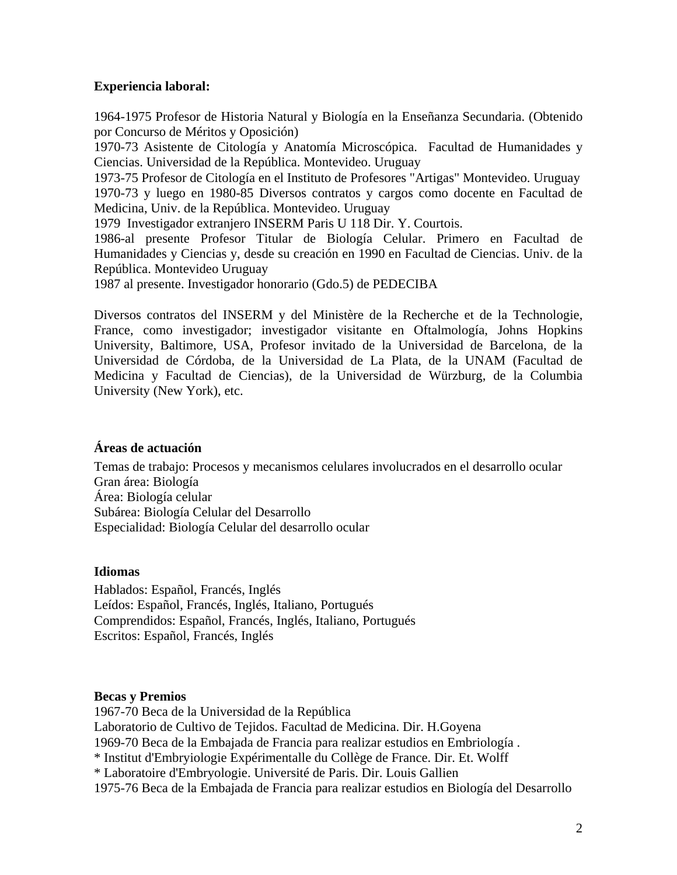## **Experiencia laboral:**

1964-1975 Profesor de Historia Natural y Biología en la Enseñanza Secundaria. (Obtenido por Concurso de Méritos y Oposición)

1970-73 Asistente de Citología y Anatomía Microscópica. Facultad de Humanidades y Ciencias. Universidad de la República. Montevideo. Uruguay

1973-75 Profesor de Citología en el Instituto de Profesores "Artigas" Montevideo. Uruguay 1970-73 y luego en 1980-85 Diversos contratos y cargos como docente en Facultad de Medicina, Univ. de la República. Montevideo. Uruguay

1979 Investigador extranjero INSERM Paris U 118 Dir. Y. Courtois.

1986-al presente Profesor Titular de Biología Celular. Primero en Facultad de Humanidades y Ciencias y, desde su creación en 1990 en Facultad de Ciencias. Univ. de la República. Montevideo Uruguay

1987 al presente. Investigador honorario (Gdo.5) de PEDECIBA

Diversos contratos del INSERM y del Ministère de la Recherche et de la Technologie, France, como investigador; investigador visitante en Oftalmología, Johns Hopkins University, Baltimore, USA, Profesor invitado de la Universidad de Barcelona, de la Universidad de Córdoba, de la Universidad de La Plata, de la UNAM (Facultad de Medicina y Facultad de Ciencias), de la Universidad de Würzburg, de la Columbia University (New York), etc.

# **Áreas de actuación**

Temas de trabajo: Procesos y mecanismos celulares involucrados en el desarrollo ocular Gran área: Biología Área: Biología celular Subárea: Biología Celular del Desarrollo Especialidad: Biología Celular del desarrollo ocular

# **Idiomas**

Hablados: Español, Francés, Inglés Leídos: Español, Francés, Inglés, Italiano, Portugués Comprendidos: Español, Francés, Inglés, Italiano, Portugués Escritos: Español, Francés, Inglés

# **Becas y Premios**

1967-70 Beca de la Universidad de la República Laboratorio de Cultivo de Tejidos. Facultad de Medicina. Dir. H.Goyena 1969-70 Beca de la Embajada de Francia para realizar estudios en Embriología . \* Institut d'Embryiologie Expérimentalle du Collège de France. Dir. Et. Wolff \* Laboratoire d'Embryologie. Université de Paris. Dir. Louis Gallien 1975-76 Beca de la Embajada de Francia para realizar estudios en Biología del Desarrollo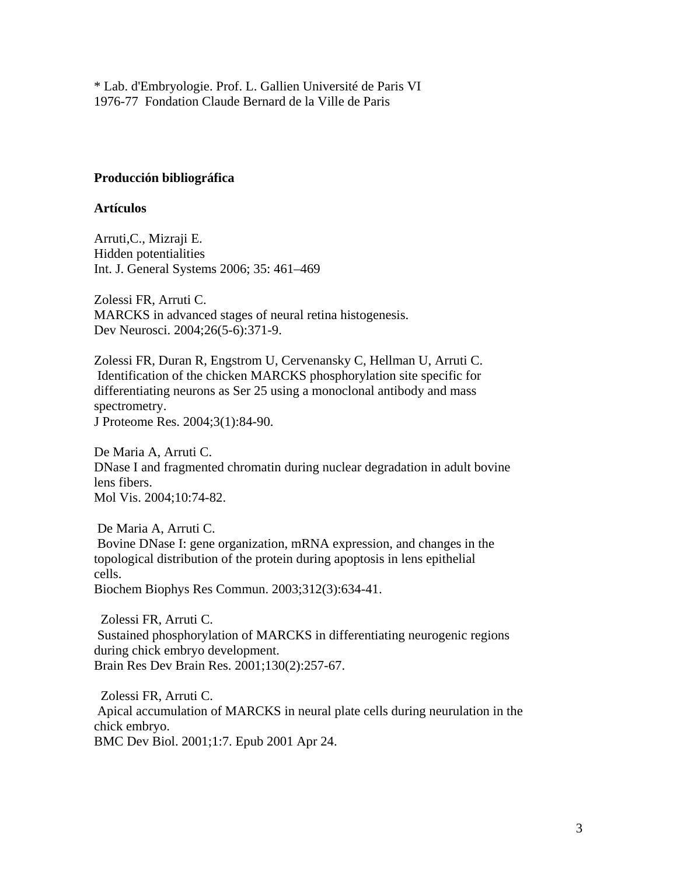\* Lab. d'Embryologie. Prof. L. Gallien Université de Paris VI 1976-77 Fondation Claude Bernard de la Ville de Paris

# **Producción bibliográfica**

## **Artículos**

Arruti,C., Mizraji E. Hidden potentialities Int. J. General Systems 2006; 35: 461–469

Zolessi FR, Arruti C. MARCKS in advanced stages of neural retina histogenesis. Dev Neurosci. 2004;26(5-6):371-9.

Zolessi FR, Duran R, Engstrom U, Cervenansky C, Hellman U, Arruti C. Identification of the chicken MARCKS phosphorylation site specific for differentiating neurons as Ser 25 using a monoclonal antibody and mass spectrometry. J Proteome Res. 2004;3(1):84-90.

De Maria A, Arruti C. DNase I and fragmented chromatin during nuclear degradation in adult bovine lens fibers. Mol Vis. 2004;10:74-82.

 De Maria A, Arruti C. Bovine DNase I: gene organization, mRNA expression, and changes in the topological distribution of the protein during apoptosis in lens epithelial cells. Biochem Biophys Res Commun. 2003;312(3):634-41.

 Zolessi FR, Arruti C. Sustained phosphorylation of MARCKS in differentiating neurogenic regions during chick embryo development. Brain Res Dev Brain Res. 2001;130(2):257-67.

 Zolessi FR, Arruti C. Apical accumulation of MARCKS in neural plate cells during neurulation in the chick embryo. BMC Dev Biol. 2001;1:7. Epub 2001 Apr 24.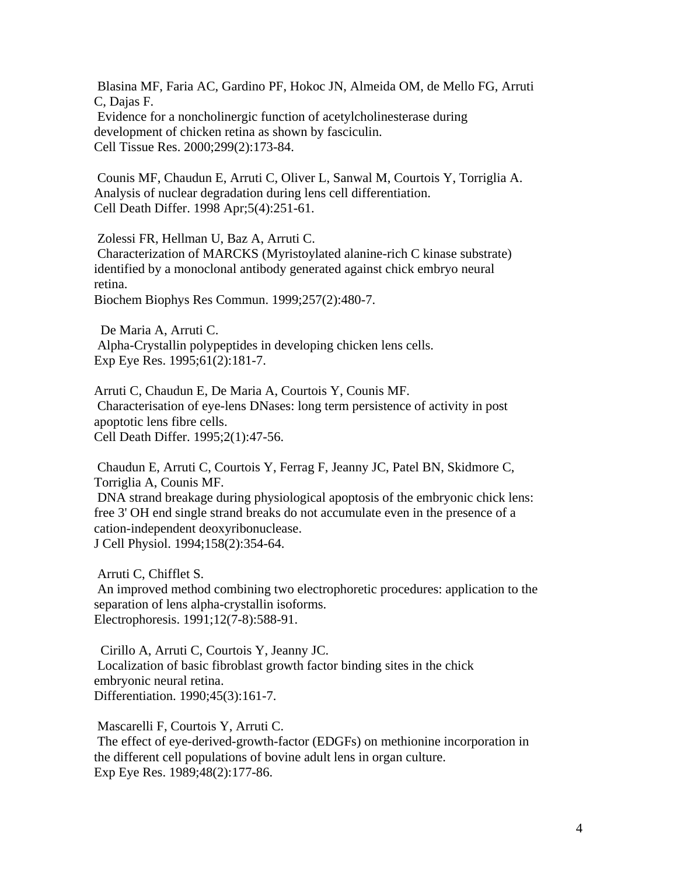Blasina MF, Faria AC, Gardino PF, Hokoc JN, Almeida OM, de Mello FG, Arruti C, Dajas F. Evidence for a noncholinergic function of acetylcholinesterase during development of chicken retina as shown by fasciculin. Cell Tissue Res. 2000;299(2):173-84.

 Counis MF, Chaudun E, Arruti C, Oliver L, Sanwal M, Courtois Y, Torriglia A. Analysis of nuclear degradation during lens cell differentiation. Cell Death Differ. 1998 Apr;5(4):251-61.

Zolessi FR, Hellman U, Baz A, Arruti C.

 Characterization of MARCKS (Myristoylated alanine-rich C kinase substrate) identified by a monoclonal antibody generated against chick embryo neural retina.

Biochem Biophys Res Commun. 1999;257(2):480-7.

 De Maria A, Arruti C. Alpha-Crystallin polypeptides in developing chicken lens cells. Exp Eye Res. 1995;61(2):181-7.

Arruti C, Chaudun E, De Maria A, Courtois Y, Counis MF. Characterisation of eye-lens DNases: long term persistence of activity in post apoptotic lens fibre cells. Cell Death Differ. 1995;2(1):47-56.

 Chaudun E, Arruti C, Courtois Y, Ferrag F, Jeanny JC, Patel BN, Skidmore C, Torriglia A, Counis MF. DNA strand breakage during physiological apoptosis of the embryonic chick lens: free 3' OH end single strand breaks do not accumulate even in the presence of a cation-independent deoxyribonuclease. J Cell Physiol. 1994;158(2):354-64.

 Arruti C, Chifflet S. An improved method combining two electrophoretic procedures: application to the separation of lens alpha-crystallin isoforms. Electrophoresis. 1991;12(7-8):588-91.

 Cirillo A, Arruti C, Courtois Y, Jeanny JC. Localization of basic fibroblast growth factor binding sites in the chick embryonic neural retina. Differentiation. 1990;45(3):161-7.

 Mascarelli F, Courtois Y, Arruti C. The effect of eye-derived-growth-factor (EDGFs) on methionine incorporation in the different cell populations of bovine adult lens in organ culture. Exp Eye Res. 1989;48(2):177-86.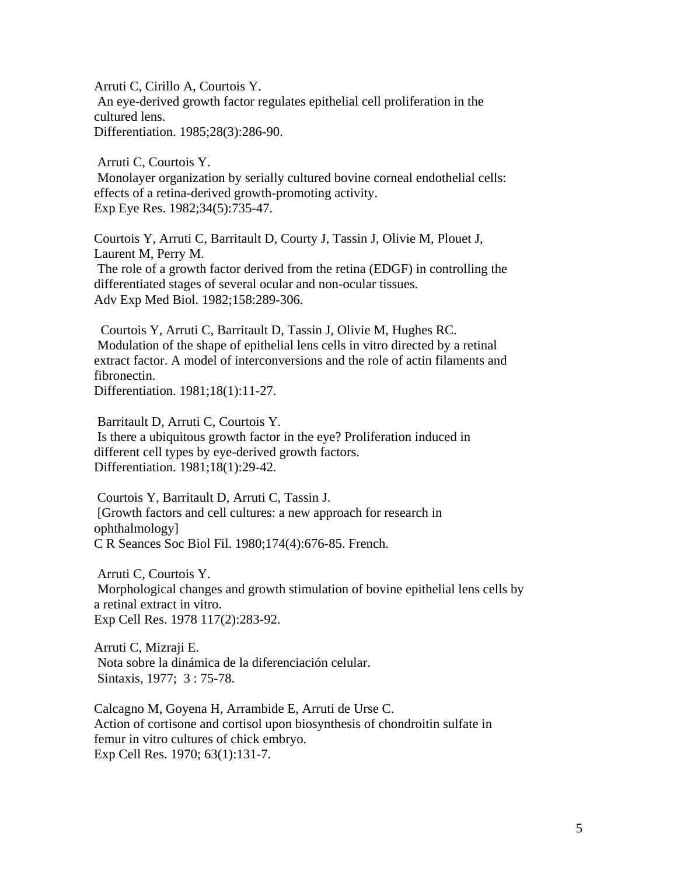Arruti C, Cirillo A, Courtois Y. An eye-derived growth factor regulates epithelial cell proliferation in the cultured lens. Differentiation. 1985;28(3):286-90.

Arruti C, Courtois Y.

 Monolayer organization by serially cultured bovine corneal endothelial cells: effects of a retina-derived growth-promoting activity. Exp Eye Res. 1982;34(5):735-47.

Courtois Y, Arruti C, Barritault D, Courty J, Tassin J, Olivie M, Plouet J, Laurent M, Perry M. The role of a growth factor derived from the retina (EDGF) in controlling the differentiated stages of several ocular and non-ocular tissues. Adv Exp Med Biol. 1982;158:289-306.

 Courtois Y, Arruti C, Barritault D, Tassin J, Olivie M, Hughes RC. Modulation of the shape of epithelial lens cells in vitro directed by a retinal extract factor. A model of interconversions and the role of actin filaments and fibronectin.

Differentiation. 1981;18(1):11-27.

Barritault D, Arruti C, Courtois Y.

 Is there a ubiquitous growth factor in the eye? Proliferation induced in different cell types by eye-derived growth factors. Differentiation. 1981;18(1):29-42.

 Courtois Y, Barritault D, Arruti C, Tassin J. [Growth factors and cell cultures: a new approach for research in ophthalmology] C R Seances Soc Biol Fil. 1980;174(4):676-85. French.

 Arruti C, Courtois Y. Morphological changes and growth stimulation of bovine epithelial lens cells by a retinal extract in vitro. Exp Cell Res. 1978 117(2):283-92.

Arruti C, Mizraji E. Nota sobre la dinámica de la diferenciación celular. Sintaxis, 1977; 3 : 75-78.

Calcagno M, Goyena H, Arrambide E, Arruti de Urse C. Action of cortisone and cortisol upon biosynthesis of chondroitin sulfate in femur in vitro cultures of chick embryo. Exp Cell Res. 1970; 63(1):131-7.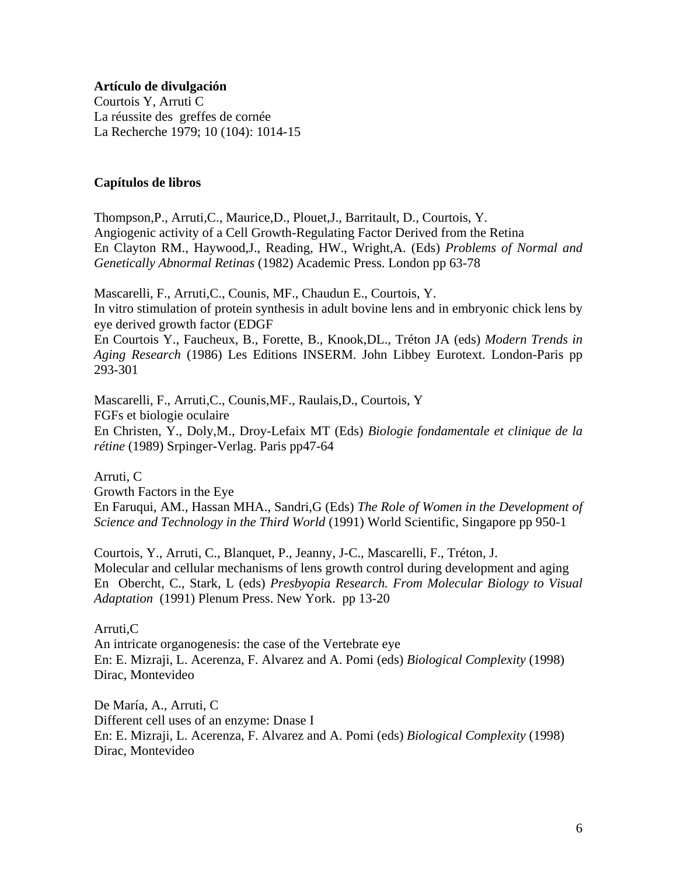#### **Artículo de divulgación**

Courtois Y, Arruti C La réussite des greffes de cornée La Recherche 1979; 10 (104): 1014-15

## **Capítulos de libros**

Thompson,P., Arruti,C., Maurice,D., Plouet,J., Barritault, D., Courtois, Y. Angiogenic activity of a Cell Growth-Regulating Factor Derived from the Retina En Clayton RM., Haywood,J., Reading, HW., Wright,A. (Eds) *Problems of Normal and Genetically Abnormal Retinas* (1982) Academic Press. London pp 63-78

Mascarelli, F., Arruti,C., Counis, MF., Chaudun E., Courtois, Y. In vitro stimulation of protein synthesis in adult bovine lens and in embryonic chick lens by eye derived growth factor (EDGF

En Courtois Y., Faucheux, B., Forette, B., Knook,DL., Tréton JA (eds) *Modern Trends in Aging Research* (1986) Les Editions INSERM. John Libbey Eurotext. London-Paris pp 293-301

Mascarelli, F., Arruti,C., Counis,MF., Raulais,D., Courtois, Y FGFs et biologie oculaire En Christen, Y., Doly,M., Droy-Lefaix MT (Eds) *Biologie fondamentale et clinique de la rétine* (1989) Srpinger-Verlag. Paris pp47-64

Arruti, C Growth Factors in the Eye En Faruqui, AM., Hassan MHA., Sandri,G (Eds) *The Role of Women in the Development of Science and Technology in the Third World* (1991) World Scientific, Singapore pp 950-1

Courtois, Y., Arruti, C., Blanquet, P., Jeanny, J-C., Mascarelli, F., Tréton, J. Molecular and cellular mechanisms of lens growth control during development and aging En Obercht, C., Stark, L (eds) *Presbyopia Research. From Molecular Biology to Visual Adaptation* (1991) Plenum Press. New York. pp 13-20

## Arruti,C

An intricate organogenesis: the case of the Vertebrate eye En: E. Mizraji, L. Acerenza, F. Alvarez and A. Pomi (eds) *Biological Complexity* (1998) Dirac, Montevideo

De María, A., Arruti, C Different cell uses of an enzyme: Dnase I En: E. Mizraji, L. Acerenza, F. Alvarez and A. Pomi (eds) *Biological Complexity* (1998) Dirac, Montevideo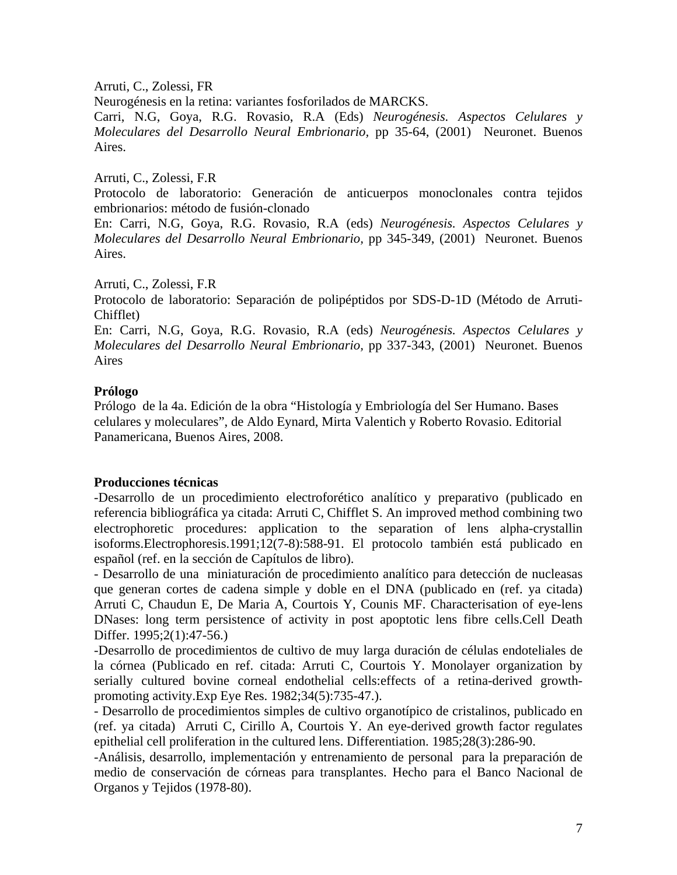Arruti, C., Zolessi, FR

Neurogénesis en la retina: variantes fosforilados de MARCKS.

Carri, N.G, Goya, R.G. Rovasio, R.A (Eds) *Neurogénesis. Aspectos Celulares y Moleculares del Desarrollo Neural Embrionario,* pp 35-64, (2001) Neuronet. Buenos Aires.

Arruti, C., Zolessi, F.R

Protocolo de laboratorio: Generación de anticuerpos monoclonales contra tejidos embrionarios: método de fusión-clonado

En: Carri, N.G, Goya, R.G. Rovasio, R.A (eds) *Neurogénesis. Aspectos Celulares y Moleculares del Desarrollo Neural Embrionario,* pp 345-349, (2001) Neuronet. Buenos Aires.

Arruti, C., Zolessi, F.R

Protocolo de laboratorio: Separación de polipéptidos por SDS-D-1D (Método de Arruti-Chifflet)

En: Carri, N.G, Goya, R.G. Rovasio, R.A (eds) *Neurogénesis. Aspectos Celulares y Moleculares del Desarrollo Neural Embrionario,* pp 337-343, (2001) Neuronet. Buenos Aires

## **Prólogo**

Prólogo de la 4a. Edición de la obra "Histología y Embriología del Ser Humano. Bases celulares y moleculares", de Aldo Eynard, Mirta Valentich y Roberto Rovasio. Editorial Panamericana, Buenos Aires, 2008.

#### **Producciones técnicas**

-Desarrollo de un procedimiento electroforético analítico y preparativo (publicado en referencia bibliográfica ya citada: Arruti C, Chifflet S. An improved method combining two electrophoretic procedures: application to the separation of lens alpha-crystallin isoforms.Electrophoresis.1991;12(7-8):588-91. El protocolo también está publicado en español (ref. en la sección de Capítulos de libro).

- Desarrollo de una miniaturación de procedimiento analítico para detección de nucleasas que generan cortes de cadena simple y doble en el DNA (publicado en (ref. ya citada) Arruti C, Chaudun E, De Maria A, Courtois Y, Counis MF. Characterisation of eye-lens DNases: long term persistence of activity in post apoptotic lens fibre cells.Cell Death Differ. 1995;2(1):47-56.)

-Desarrollo de procedimientos de cultivo de muy larga duración de células endoteliales de la córnea (Publicado en ref. citada: Arruti C, Courtois Y. Monolayer organization by serially cultured bovine corneal endothelial cells:effects of a retina-derived growthpromoting activity.Exp Eye Res. 1982;34(5):735-47.).

- Desarrollo de procedimientos simples de cultivo organotípico de cristalinos, publicado en (ref. ya citada) Arruti C, Cirillo A, Courtois Y. An eye-derived growth factor regulates epithelial cell proliferation in the cultured lens. Differentiation. 1985;28(3):286-90.

-Análisis, desarrollo, implementación y entrenamiento de personal para la preparación de medio de conservación de córneas para transplantes. Hecho para el Banco Nacional de Organos y Tejidos (1978-80).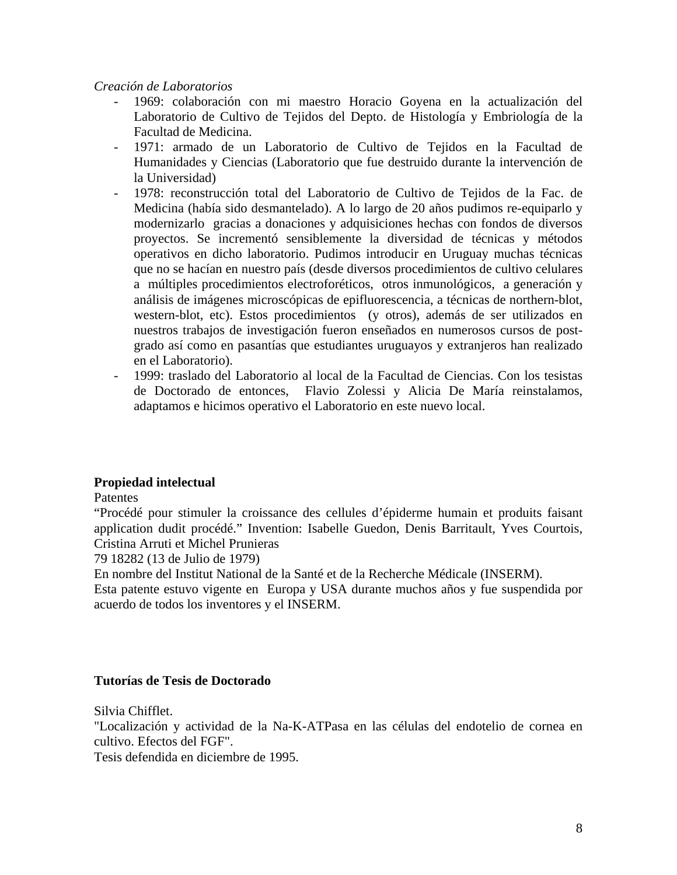## *Creación de Laboratorios*

- 1969: colaboración con mi maestro Horacio Goyena en la actualización del Laboratorio de Cultivo de Tejidos del Depto. de Histología y Embriología de la Facultad de Medicina.
- 1971: armado de un Laboratorio de Cultivo de Tejidos en la Facultad de Humanidades y Ciencias (Laboratorio que fue destruido durante la intervención de la Universidad)
- 1978: reconstrucción total del Laboratorio de Cultivo de Tejidos de la Fac. de Medicina (había sido desmantelado). A lo largo de 20 años pudimos re-equiparlo y modernizarlo gracias a donaciones y adquisiciones hechas con fondos de diversos proyectos. Se incrementó sensiblemente la diversidad de técnicas y métodos operativos en dicho laboratorio. Pudimos introducir en Uruguay muchas técnicas que no se hacían en nuestro país (desde diversos procedimientos de cultivo celulares a múltiples procedimientos electroforéticos, otros inmunológicos, a generación y análisis de imágenes microscópicas de epifluorescencia, a técnicas de northern-blot, western-blot, etc). Estos procedimientos (y otros), además de ser utilizados en nuestros trabajos de investigación fueron enseñados en numerosos cursos de postgrado así como en pasantías que estudiantes uruguayos y extranjeros han realizado en el Laboratorio).
- 1999: traslado del Laboratorio al local de la Facultad de Ciencias. Con los tesistas de Doctorado de entonces, Flavio Zolessi y Alicia De María reinstalamos, adaptamos e hicimos operativo el Laboratorio en este nuevo local.

## **Propiedad intelectual**

Patentes

"Procédé pour stimuler la croissance des cellules d'épiderme humain et produits faisant application dudit procédé." Invention: Isabelle Guedon, Denis Barritault, Yves Courtois, Cristina Arruti et Michel Prunieras

79 18282 (13 de Julio de 1979)

En nombre del Institut National de la Santé et de la Recherche Médicale (INSERM).

Esta patente estuvo vigente en Europa y USA durante muchos años y fue suspendida por acuerdo de todos los inventores y el INSERM.

## **Tutorías de Tesis de Doctorado**

Silvia Chifflet.

"Localización y actividad de la Na-K-ATPasa en las células del endotelio de cornea en cultivo. Efectos del FGF".

Tesis defendida en diciembre de 1995.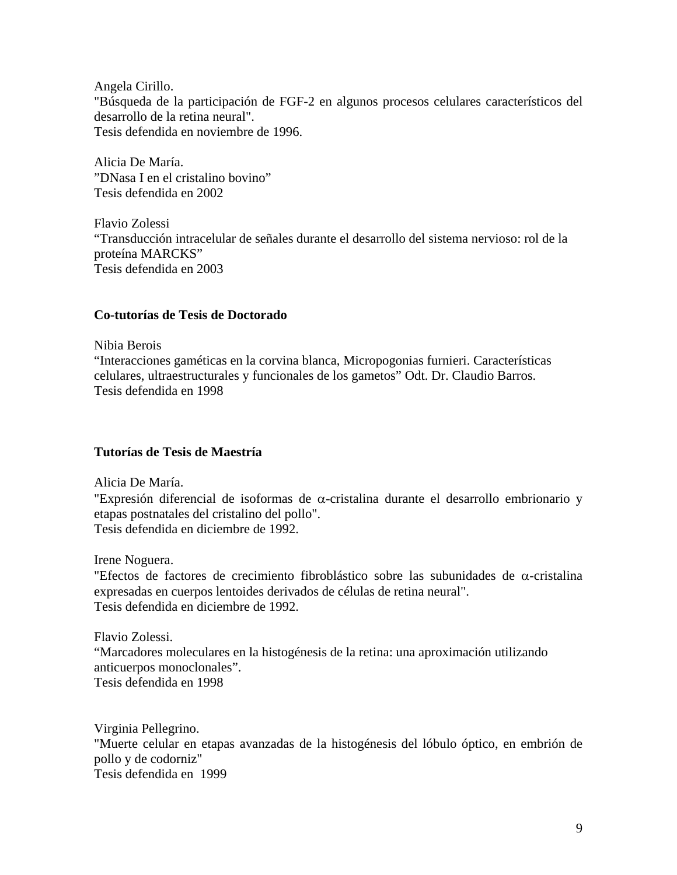Angela Cirillo. "Búsqueda de la participación de FGF-2 en algunos procesos celulares característicos del desarrollo de la retina neural". Tesis defendida en noviembre de 1996.

Alicia De María. "DNasa I en el cristalino bovino" Tesis defendida en 2002

Flavio Zolessi "Transducción intracelular de señales durante el desarrollo del sistema nervioso: rol de la proteína MARCKS" Tesis defendida en 2003

## **Co-tutorías de Tesis de Doctorado**

Nibia Berois

"Interacciones gaméticas en la corvina blanca, Micropogonias furnieri. Características celulares, ultraestructurales y funcionales de los gametos" Odt. Dr. Claudio Barros. Tesis defendida en 1998

## **Tutorías de Tesis de Maestría**

Alicia De María.

"Expresión diferencial de isoformas de α-cristalina durante el desarrollo embrionario y etapas postnatales del cristalino del pollo". Tesis defendida en diciembre de 1992.

Irene Noguera.

"Efectos de factores de crecimiento fibroblástico sobre las subunidades de α-cristalina expresadas en cuerpos lentoides derivados de células de retina neural". Tesis defendida en diciembre de 1992.

Flavio Zolessi.

"Marcadores moleculares en la histogénesis de la retina: una aproximación utilizando anticuerpos monoclonales". Tesis defendida en 1998

Virginia Pellegrino. "Muerte celular en etapas avanzadas de la histogénesis del lóbulo óptico, en embrión de pollo y de codorniz" Tesis defendida en 1999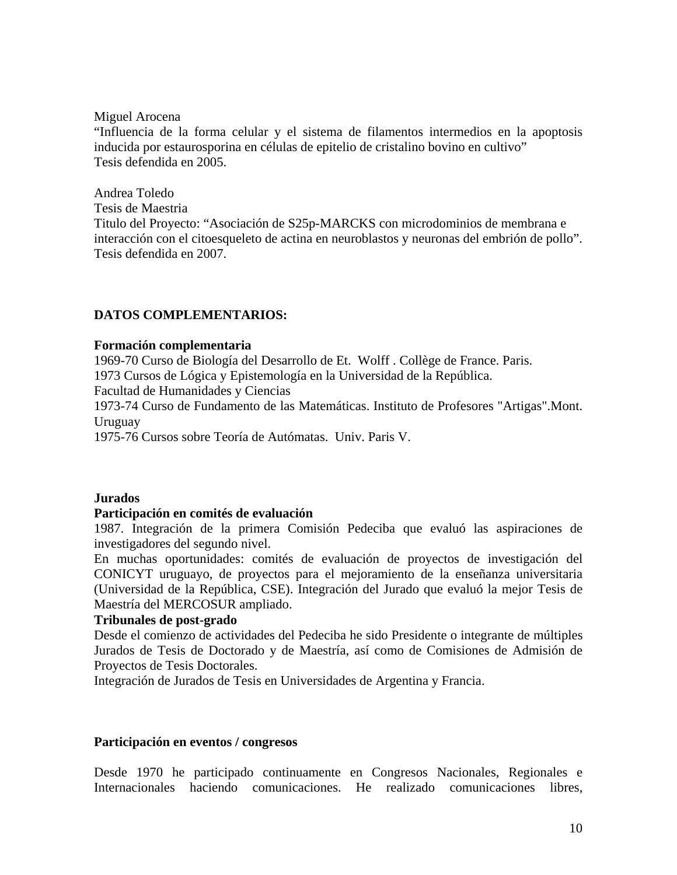Miguel Arocena

"Influencia de la forma celular y el sistema de filamentos intermedios en la apoptosis inducida por estaurosporina en células de epitelio de cristalino bovino en cultivo" Tesis defendida en 2005.

Andrea Toledo

Tesis de Maestria

Titulo del Proyecto: "Asociación de S25p-MARCKS con microdominios de membrana e interacción con el citoesqueleto de actina en neuroblastos y neuronas del embrión de pollo". Tesis defendida en 2007.

# **DATOS COMPLEMENTARIOS:**

## **Formación complementaria**

1969-70 Curso de Biología del Desarrollo de Et. Wolff . Collège de France. Paris. 1973 Cursos de Lógica y Epistemología en la Universidad de la República. Facultad de Humanidades y Ciencias 1973-74 Curso de Fundamento de las Matemáticas. Instituto de Profesores "Artigas".Mont. Uruguay

1975-76 Cursos sobre Teoría de Autómatas. Univ. Paris V.

#### **Jurados**

## **Participación en comités de evaluación**

1987. Integración de la primera Comisión Pedeciba que evaluó las aspiraciones de investigadores del segundo nivel.

En muchas oportunidades: comités de evaluación de proyectos de investigación del CONICYT uruguayo, de proyectos para el mejoramiento de la enseñanza universitaria (Universidad de la República, CSE). Integración del Jurado que evaluó la mejor Tesis de Maestría del MERCOSUR ampliado.

## **Tribunales de post-grado**

Desde el comienzo de actividades del Pedeciba he sido Presidente o integrante de múltiples Jurados de Tesis de Doctorado y de Maestría, así como de Comisiones de Admisión de Proyectos de Tesis Doctorales.

Integración de Jurados de Tesis en Universidades de Argentina y Francia.

#### **Participación en eventos / congresos**

Desde 1970 he participado continuamente en Congresos Nacionales, Regionales e Internacionales haciendo comunicaciones. He realizado comunicaciones libres,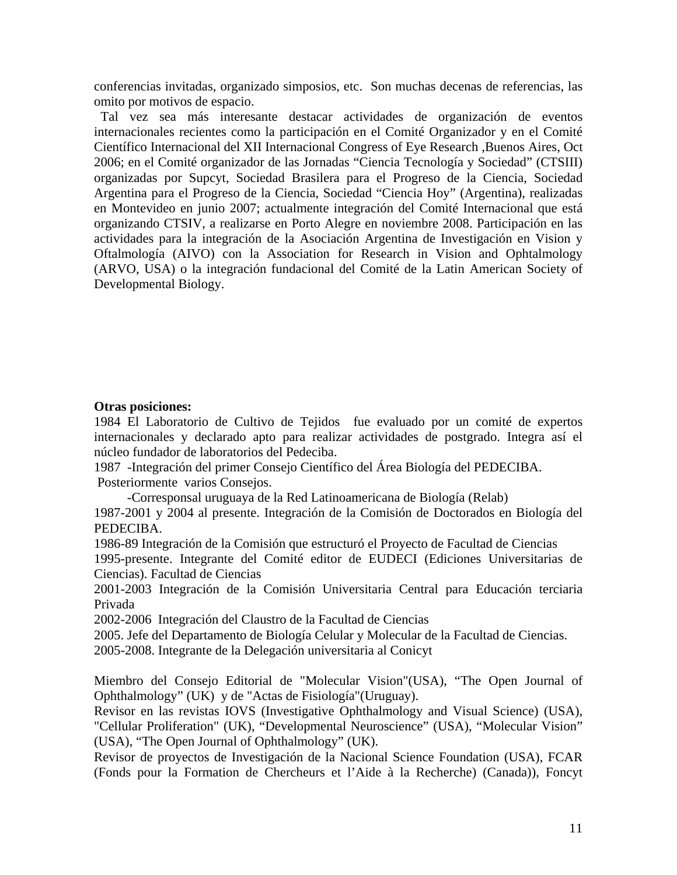conferencias invitadas, organizado simposios, etc. Son muchas decenas de referencias, las omito por motivos de espacio.

 Tal vez sea más interesante destacar actividades de organización de eventos internacionales recientes como la participación en el Comité Organizador y en el Comité Científico Internacional del XII Internacional Congress of Eye Research ,Buenos Aires, Oct 2006; en el Comité organizador de las Jornadas "Ciencia Tecnología y Sociedad" (CTSIII) organizadas por Supcyt, Sociedad Brasilera para el Progreso de la Ciencia, Sociedad Argentina para el Progreso de la Ciencia, Sociedad "Ciencia Hoy" (Argentina), realizadas en Montevideo en junio 2007; actualmente integración del Comité Internacional que está organizando CTSIV, a realizarse en Porto Alegre en noviembre 2008. Participación en las actividades para la integración de la Asociación Argentina de Investigación en Vision y Oftalmología (AIVO) con la Association for Research in Vision and Ophtalmology (ARVO, USA) o la integración fundacional del Comité de la Latin American Society of Developmental Biology.

## **Otras posiciones:**

1984 El Laboratorio de Cultivo de Tejidos fue evaluado por un comité de expertos internacionales y declarado apto para realizar actividades de postgrado. Integra así el núcleo fundador de laboratorios del Pedeciba.

1987 -Integración del primer Consejo Científico del Área Biología del PEDECIBA. Posteriormente varios Consejos.

-Corresponsal uruguaya de la Red Latinoamericana de Biología (Relab)

1987-2001 y 2004 al presente. Integración de la Comisión de Doctorados en Biología del PEDECIBA.

1986-89 Integración de la Comisión que estructuró el Proyecto de Facultad de Ciencias

1995-presente. Integrante del Comité editor de EUDECI (Ediciones Universitarias de Ciencias). Facultad de Ciencias

2001-2003 Integración de la Comisión Universitaria Central para Educación terciaria Privada

2002-2006 Integración del Claustro de la Facultad de Ciencias

2005. Jefe del Departamento de Biología Celular y Molecular de la Facultad de Ciencias. 2005-2008. Integrante de la Delegación universitaria al Conicyt

Miembro del Consejo Editorial de "Molecular Vision"(USA), "The Open Journal of Ophthalmology" (UK) y de "Actas de Fisiología"(Uruguay).

Revisor en las revistas IOVS (Investigative Ophthalmology and Visual Science) (USA), "Cellular Proliferation" (UK), "Developmental Neuroscience" (USA), "Molecular Vision" (USA), "The Open Journal of Ophthalmology" (UK).

Revisor de proyectos de Investigación de la Nacional Science Foundation (USA), FCAR (Fonds pour la Formation de Chercheurs et l'Aide à la Recherche) (Canada)), Foncyt